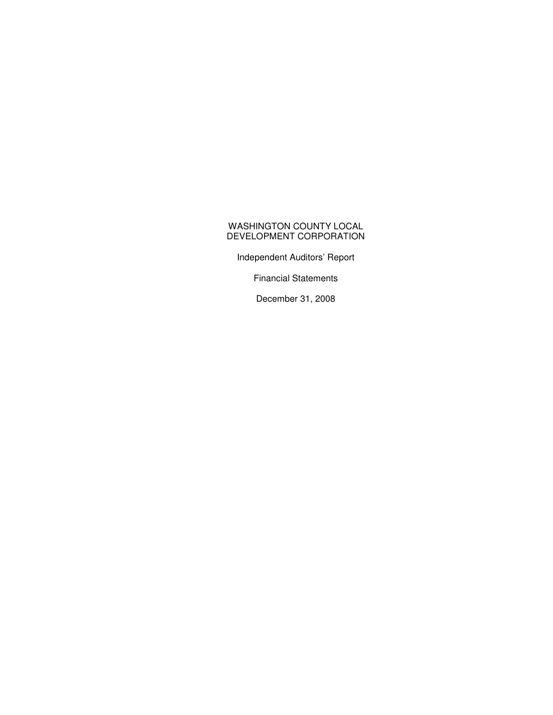Independent Auditors' Report

Financial Statements

December 31, 2008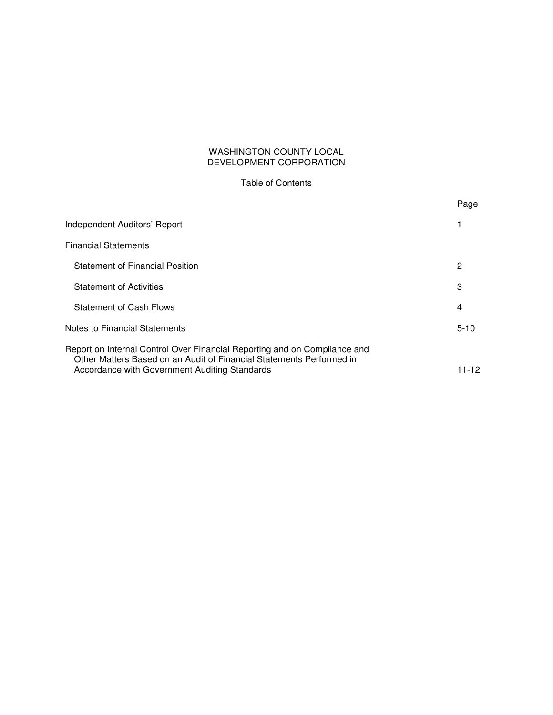# Table of Contents

|                                                                                                                                                                                                    | Page      |
|----------------------------------------------------------------------------------------------------------------------------------------------------------------------------------------------------|-----------|
| Independent Auditors' Report                                                                                                                                                                       |           |
| <b>Financial Statements</b>                                                                                                                                                                        |           |
| <b>Statement of Financial Position</b>                                                                                                                                                             | 2         |
| <b>Statement of Activities</b>                                                                                                                                                                     | 3         |
| <b>Statement of Cash Flows</b>                                                                                                                                                                     | 4         |
| Notes to Financial Statements                                                                                                                                                                      | $5 - 10$  |
| Report on Internal Control Over Financial Reporting and on Compliance and<br>Other Matters Based on an Audit of Financial Statements Performed in<br>Accordance with Government Auditing Standards | $11 - 12$ |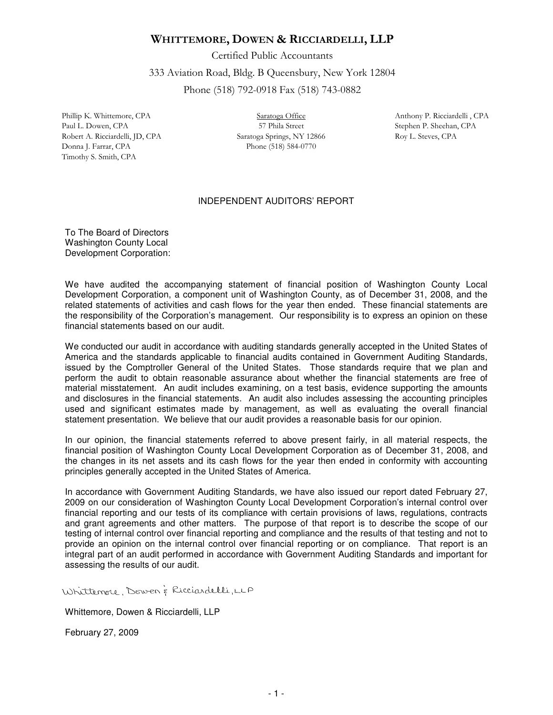# WHITTEMORE, DOWEN & RICCIARDELLI, LLP

Certified Public Accountants 333 Aviation Road, Bldg. B Queensbury, New York 12804 Phone (518) 792-0918 Fax (518) 743-0882

Phillip K. Whittemore, CPA Saratoga Office Anthony P. Ricciardelli , CPA Paul L. Dowen, CPA 57 Phila Street Stephen P. Sheehan, CPA Robert A. Ricciardelli, JD, CPA Saratoga Springs, NY 12866 Roy L. Steves, CPA Donna J. Farrar, CPA Phone (518) 584-0770 Timothy S. Smith, CPA

## INDEPENDENT AUDITORS' REPORT

To The Board of Directors Washington County Local Development Corporation:

We have audited the accompanying statement of financial position of Washington County Local Development Corporation, a component unit of Washington County, as of December 31, 2008, and the related statements of activities and cash flows for the year then ended. These financial statements are the responsibility of the Corporation's management. Our responsibility is to express an opinion on these financial statements based on our audit.

We conducted our audit in accordance with auditing standards generally accepted in the United States of America and the standards applicable to financial audits contained in Government Auditing Standards, issued by the Comptroller General of the United States. Those standards require that we plan and perform the audit to obtain reasonable assurance about whether the financial statements are free of material misstatement. An audit includes examining, on a test basis, evidence supporting the amounts and disclosures in the financial statements. An audit also includes assessing the accounting principles used and significant estimates made by management, as well as evaluating the overall financial statement presentation. We believe that our audit provides a reasonable basis for our opinion.

In our opinion, the financial statements referred to above present fairly, in all material respects, the financial position of Washington County Local Development Corporation as of December 31, 2008, and the changes in its net assets and its cash flows for the year then ended in conformity with accounting principles generally accepted in the United States of America.

In accordance with Government Auditing Standards, we have also issued our report dated February 27, 2009 on our consideration of Washington County Local Development Corporation's internal control over financial reporting and our tests of its compliance with certain provisions of laws, regulations, contracts and grant agreements and other matters. The purpose of that report is to describe the scope of our testing of internal control over financial reporting and compliance and the results of that testing and not to provide an opinion on the internal control over financial reporting or on compliance. That report is an integral part of an audit performed in accordance with Government Auditing Standards and important for assessing the results of our audit.

Whittemore, Dowen & Ricciardelli, LLP

Whittemore, Dowen & Ricciardelli, LLP

February 27, 2009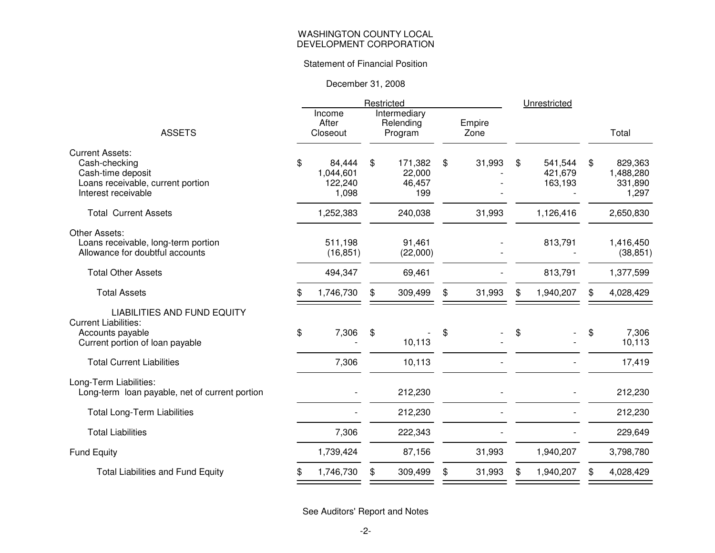## Statement of Financial Position

# December 31, 2008

| Restricted                              |          |                                    |                                      |                |                                     |              |                                          |
|-----------------------------------------|----------|------------------------------------|--------------------------------------|----------------|-------------------------------------|--------------|------------------------------------------|
| Income<br>After<br>Closeout             |          |                                    |                                      | Empire<br>Zone |                                     |              | Total                                    |
| 84,444<br>1,044,601<br>122,240<br>1,098 | \$       | 171,382<br>22,000<br>46,457<br>199 | \$                                   | 31,993         | \$<br>541,544<br>421,679<br>163,193 | \$           | 829,363<br>1,488,280<br>331,890<br>1,297 |
| 1,252,383                               |          | 240,038                            |                                      | 31,993         | 1,126,416                           |              | 2,650,830                                |
| 511,198<br>(16, 851)                    |          | 91,461<br>(22,000)                 |                                      |                | 813,791                             |              | 1,416,450<br>(38, 851)                   |
| 494,347                                 |          | 69,461                             |                                      |                | 813,791                             |              | 1,377,599                                |
| 1,746,730                               | \$       | 309,499                            | \$                                   | 31,993         | \$<br>1,940,207                     | \$           | 4,028,429                                |
| 7,306                                   | \$       | 10,113                             | \$                                   |                | \$                                  | \$           | 7,306<br>10,113                          |
| 7,306                                   |          | 10,113                             |                                      |                |                                     |              | 17,419                                   |
|                                         |          | 212,230                            |                                      |                |                                     |              | 212,230                                  |
|                                         |          | 212,230                            |                                      |                |                                     |              | 212,230                                  |
| 7,306                                   |          | 222,343                            |                                      |                |                                     |              | 229,649                                  |
| 1,739,424                               |          | 87,156                             |                                      | 31,993         | 1,940,207                           |              | 3,798,780                                |
| 1,746,730                               | \$       | 309,499                            | \$                                   | 31,993         | \$<br>1,940,207                     |              | 4,028,429                                |
|                                         | \$<br>\$ |                                    | Intermediary<br>Relending<br>Program |                |                                     | Unrestricted |                                          |

See Auditors' Report and Notes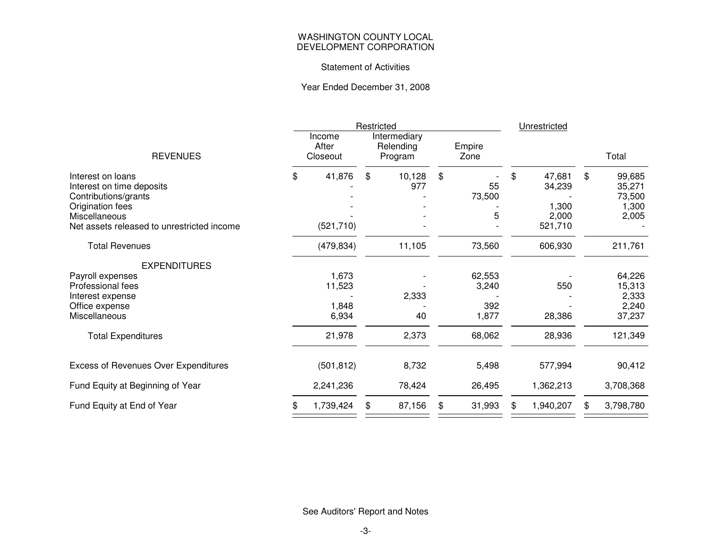# Statement of Activities

# Year Ended December 31, 2008

|                                                                                                                                                                 | Restricted                        |                                      |                                 |                                                     |                                                    |
|-----------------------------------------------------------------------------------------------------------------------------------------------------------------|-----------------------------------|--------------------------------------|---------------------------------|-----------------------------------------------------|----------------------------------------------------|
| <b>REVENUES</b>                                                                                                                                                 | Income<br>After<br>Closeout       | Intermediary<br>Relending<br>Program | Empire<br>Zone                  | Unrestricted                                        | Total                                              |
| \$<br>Interest on loans<br>Interest on time deposits<br>Contributions/grants<br>Origination fees<br>Miscellaneous<br>Net assets released to unrestricted income | 41,876<br>(521, 710)              | \$<br>10,128<br>977                  | \$<br>55<br>73,500<br>5         | \$<br>47,681<br>34,239<br>1,300<br>2,000<br>521,710 | \$<br>99,685<br>35,271<br>73,500<br>1,300<br>2,005 |
| <b>Total Revenues</b>                                                                                                                                           | (479, 834)                        | 11,105                               | 73,560                          | 606,930                                             | 211,761                                            |
| <b>EXPENDITURES</b>                                                                                                                                             |                                   |                                      |                                 |                                                     |                                                    |
| Payroll expenses<br>Professional fees<br>Interest expense<br>Office expense<br>Miscellaneous                                                                    | 1,673<br>11,523<br>1,848<br>6,934 | 2,333<br>40                          | 62,553<br>3,240<br>392<br>1,877 | 550<br>28,386                                       | 64,226<br>15,313<br>2,333<br>2,240<br>37,237       |
| <b>Total Expenditures</b>                                                                                                                                       | 21,978                            | 2,373                                | 68,062                          | 28,936                                              | 121,349                                            |
| Excess of Revenues Over Expenditures<br>Fund Equity at Beginning of Year                                                                                        | (501, 812)<br>2,241,236           | 8,732<br>78,424                      | 5,498<br>26,495                 | 577,994<br>1,362,213                                | 90,412<br>3,708,368                                |
|                                                                                                                                                                 |                                   |                                      |                                 |                                                     |                                                    |
| Fund Equity at End of Year<br>\$.                                                                                                                               | 1,739,424                         | 87,156<br>\$                         | \$<br>31,993                    | 1,940,207<br>\$                                     | 3,798,780<br>\$.                                   |

See Auditors' Report and Notes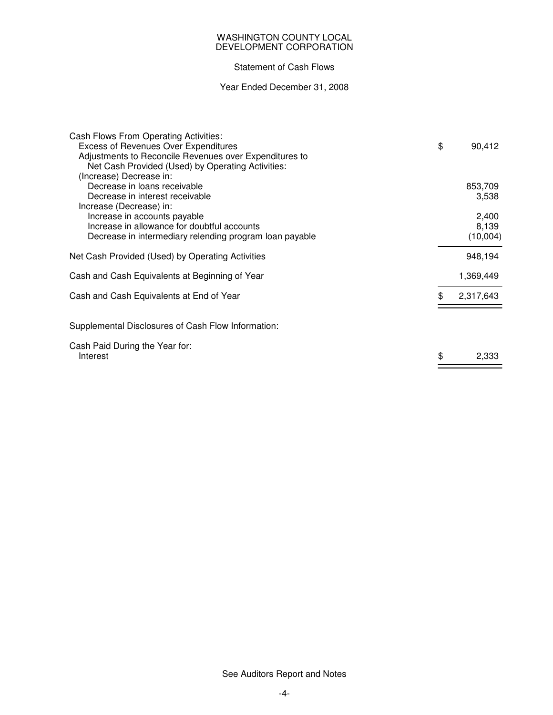### Statement of Cash Flows

# Year Ended December 31, 2008

| Cash Flows From Operating Activities:                   |                 |
|---------------------------------------------------------|-----------------|
| <b>Excess of Revenues Over Expenditures</b>             | \$<br>90,412    |
| Adjustments to Reconcile Revenues over Expenditures to  |                 |
| Net Cash Provided (Used) by Operating Activities:       |                 |
| (Increase) Decrease in:                                 |                 |
| Decrease in loans receivable                            | 853,709         |
| Decrease in interest receivable                         | 3,538           |
| Increase (Decrease) in:                                 |                 |
| Increase in accounts payable                            | 2,400           |
| Increase in allowance for doubtful accounts             | 8,139           |
| Decrease in intermediary relending program loan payable | (10,004)        |
| Net Cash Provided (Used) by Operating Activities        | 948,194         |
| Cash and Cash Equivalents at Beginning of Year          | 1,369,449       |
| Cash and Cash Equivalents at End of Year                | \$<br>2,317,643 |
|                                                         |                 |
| Supplemental Disclosures of Cash Flow Information:      |                 |
| Cash Paid During the Year for:                          |                 |
| Interest                                                | \$<br>2,333     |

See Auditors Report and Notes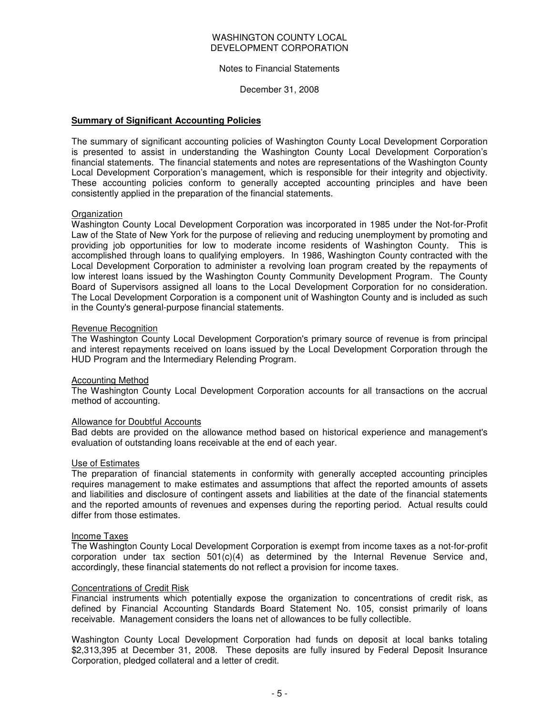#### Notes to Financial Statements

December 31, 2008

#### **Summary of Significant Accounting Policies**

The summary of significant accounting policies of Washington County Local Development Corporation is presented to assist in understanding the Washington County Local Development Corporation's financial statements. The financial statements and notes are representations of the Washington County Local Development Corporation's management, which is responsible for their integrity and objectivity. These accounting policies conform to generally accepted accounting principles and have been consistently applied in the preparation of the financial statements.

#### Organization

Washington County Local Development Corporation was incorporated in 1985 under the Not-for-Profit Law of the State of New York for the purpose of relieving and reducing unemployment by promoting and providing job opportunities for low to moderate income residents of Washington County. This is accomplished through loans to qualifying employers. In 1986, Washington County contracted with the Local Development Corporation to administer a revolving loan program created by the repayments of low interest loans issued by the Washington County Community Development Program. The County Board of Supervisors assigned all loans to the Local Development Corporation for no consideration. The Local Development Corporation is a component unit of Washington County and is included as such in the County's general-purpose financial statements.

#### Revenue Recognition

The Washington County Local Development Corporation's primary source of revenue is from principal and interest repayments received on loans issued by the Local Development Corporation through the HUD Program and the Intermediary Relending Program.

#### Accounting Method

The Washington County Local Development Corporation accounts for all transactions on the accrual method of accounting.

#### Allowance for Doubtful Accounts

Bad debts are provided on the allowance method based on historical experience and management's evaluation of outstanding loans receivable at the end of each year.

#### Use of Estimates

The preparation of financial statements in conformity with generally accepted accounting principles requires management to make estimates and assumptions that affect the reported amounts of assets and liabilities and disclosure of contingent assets and liabilities at the date of the financial statements and the reported amounts of revenues and expenses during the reporting period. Actual results could differ from those estimates.

#### Income Taxes

The Washington County Local Development Corporation is exempt from income taxes as a not-for-profit corporation under tax section  $501(c)(4)$  as determined by the Internal Revenue Service and, accordingly, these financial statements do not reflect a provision for income taxes.

#### Concentrations of Credit Risk

Financial instruments which potentially expose the organization to concentrations of credit risk, as defined by Financial Accounting Standards Board Statement No. 105, consist primarily of loans receivable. Management considers the loans net of allowances to be fully collectible.

Washington County Local Development Corporation had funds on deposit at local banks totaling \$2,313,395 at December 31, 2008. These deposits are fully insured by Federal Deposit Insurance Corporation, pledged collateral and a letter of credit.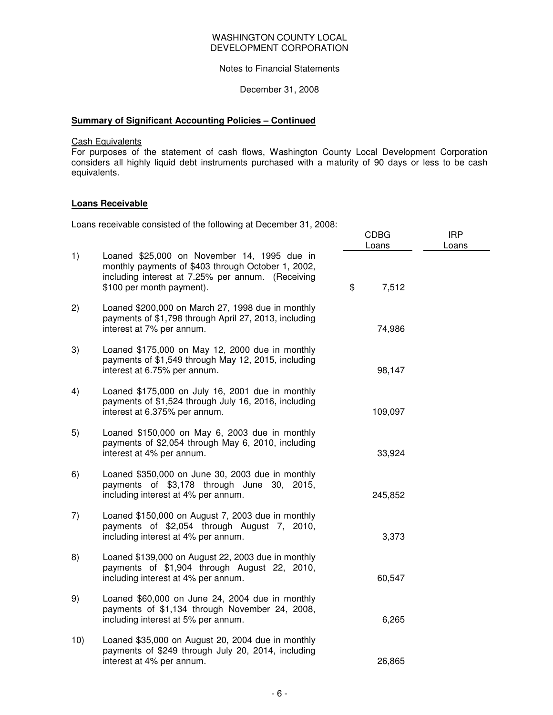### Notes to Financial Statements

December 31, 2008

# **Summary of Significant Accounting Policies – Continued**

**Cash Equivalents** 

For purposes of the statement of cash flows, Washington County Local Development Corporation considers all highly liquid debt instruments purchased with a maturity of 90 days or less to be cash equivalents.

## **Loans Receivable**

Loans receivable consisted of the following at December 31, 2008:

|     |                                                                                                                                                                                     | <b>CDBG</b><br>Loans | <b>IRP</b><br>Loans |
|-----|-------------------------------------------------------------------------------------------------------------------------------------------------------------------------------------|----------------------|---------------------|
| 1)  | Loaned \$25,000 on November 14, 1995 due in<br>monthly payments of \$403 through October 1, 2002,<br>including interest at 7.25% per annum. (Receiving<br>\$100 per month payment). | \$<br>7,512          |                     |
| 2)  | Loaned \$200,000 on March 27, 1998 due in monthly<br>payments of \$1,798 through April 27, 2013, including<br>interest at 7% per annum.                                             | 74,986               |                     |
| 3)  | Loaned \$175,000 on May 12, 2000 due in monthly<br>payments of \$1,549 through May 12, 2015, including<br>interest at 6.75% per annum.                                              | 98,147               |                     |
| 4)  | Loaned \$175,000 on July 16, 2001 due in monthly<br>payments of \$1,524 through July 16, 2016, including<br>interest at 6.375% per annum.                                           | 109,097              |                     |
| 5)  | Loaned \$150,000 on May 6, 2003 due in monthly<br>payments of \$2,054 through May 6, 2010, including<br>interest at 4% per annum.                                                   | 33,924               |                     |
| 6)  | Loaned \$350,000 on June 30, 2003 due in monthly<br>payments of \$3,178 through June 30, 2015,<br>including interest at 4% per annum.                                               | 245,852              |                     |
| 7)  | Loaned \$150,000 on August 7, 2003 due in monthly<br>payments of \$2,054 through August 7, 2010,<br>including interest at 4% per annum.                                             | 3,373                |                     |
| 8)  | Loaned \$139,000 on August 22, 2003 due in monthly<br>payments of \$1,904 through August 22, 2010,<br>including interest at 4% per annum.                                           | 60,547               |                     |
| 9)  | Loaned \$60,000 on June 24, 2004 due in monthly<br>payments of \$1,134 through November 24, 2008,<br>including interest at 5% per annum.                                            | 6,265                |                     |
| 10) | Loaned \$35,000 on August 20, 2004 due in monthly<br>payments of \$249 through July 20, 2014, including<br>interest at 4% per annum.                                                | 26,865               |                     |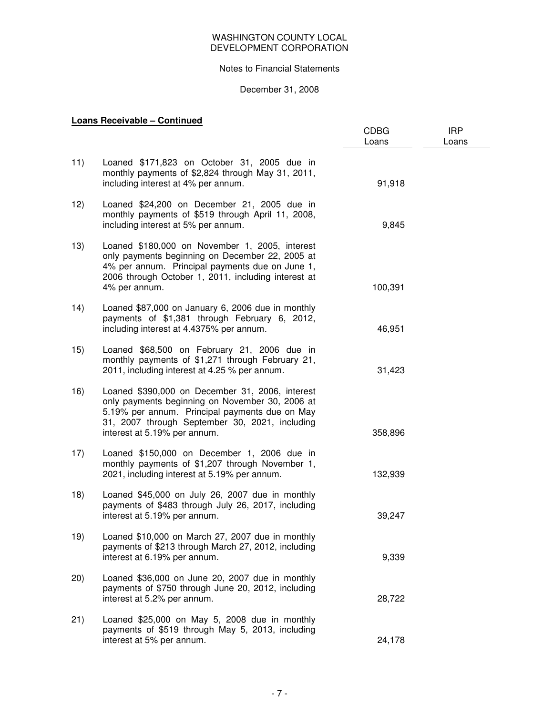## Notes to Financial Statements

### December 31, 2008

# **Loans Receivable – Continued**

|      |                                                                                                                                                                                                                                        | <b>CDBG</b><br>Loans | <b>IRP</b><br>Loans |
|------|----------------------------------------------------------------------------------------------------------------------------------------------------------------------------------------------------------------------------------------|----------------------|---------------------|
| 11)  | Loaned \$171,823 on October 31, 2005 due in<br>monthly payments of \$2,824 through May 31, 2011,<br>including interest at 4% per annum.                                                                                                | 91,918               |                     |
| 12)  | Loaned \$24,200 on December 21, 2005 due in<br>monthly payments of \$519 through April 11, 2008,<br>including interest at 5% per annum.                                                                                                | 9,845                |                     |
| 13)  | Loaned \$180,000 on November 1, 2005, interest<br>only payments beginning on December 22, 2005 at<br>4% per annum. Principal payments due on June 1,<br>2006 through October 1, 2011, including interest at<br>4% per annum.           | 100,391              |                     |
| 14)  | Loaned \$87,000 on January 6, 2006 due in monthly<br>payments of \$1,381 through February 6, 2012,<br>including interest at 4.4375% per annum.                                                                                         | 46,951               |                     |
| 15)  | Loaned \$68,500 on February 21, 2006 due in<br>monthly payments of \$1,271 through February 21,<br>2011, including interest at 4.25 % per annum.                                                                                       | 31,423               |                     |
| 16)  | Loaned \$390,000 on December 31, 2006, interest<br>only payments beginning on November 30, 2006 at<br>5.19% per annum. Principal payments due on May<br>31, 2007 through September 30, 2021, including<br>interest at 5.19% per annum. | 358,896              |                     |
| 17)  | Loaned \$150,000 on December 1, 2006 due in<br>monthly payments of \$1,207 through November 1,<br>2021, including interest at 5.19% per annum.                                                                                         | 132,939              |                     |
| 18)  | Loaned \$45,000 on July 26, 2007 due in monthly<br>payments of \$483 through July 26, 2017, including<br>interest at 5.19% per annum.                                                                                                  | 39,247               |                     |
| 19)  | Loaned \$10,000 on March 27, 2007 due in monthly<br>payments of \$213 through March 27, 2012, including<br>interest at 6.19% per annum.                                                                                                | 9,339                |                     |
| (20) | Loaned \$36,000 on June 20, 2007 due in monthly<br>payments of \$750 through June 20, 2012, including<br>interest at 5.2% per annum.                                                                                                   | 28,722               |                     |
| 21)  | Loaned \$25,000 on May 5, 2008 due in monthly<br>payments of \$519 through May 5, 2013, including<br>interest at 5% per annum.                                                                                                         | 24,178               |                     |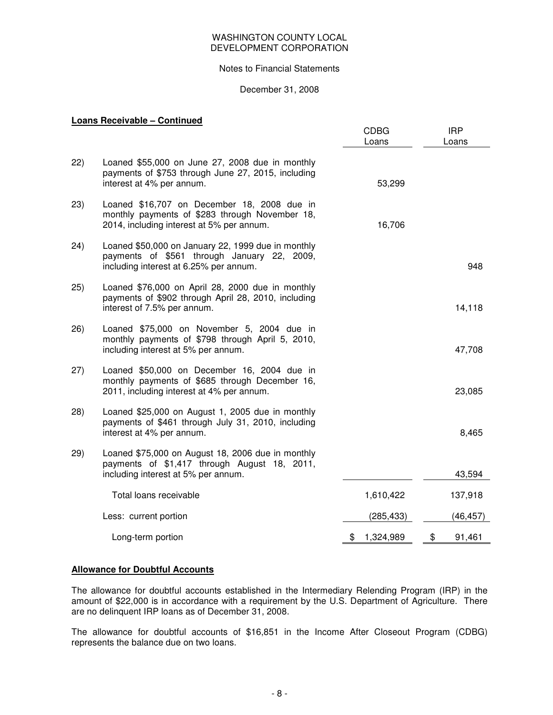### Notes to Financial Statements

### December 31, 2008

### **Loans Receivable – Continued**

|      |                                                                                                                                             | <b>CDBG</b><br>Loans | <b>IRP</b><br>Loans |
|------|---------------------------------------------------------------------------------------------------------------------------------------------|----------------------|---------------------|
| 22)  | Loaned \$55,000 on June 27, 2008 due in monthly<br>payments of \$753 through June 27, 2015, including<br>interest at 4% per annum.          | 53,299               |                     |
| 23)  | Loaned \$16,707 on December 18, 2008 due in<br>monthly payments of \$283 through November 18,<br>2014, including interest at 5% per annum.  | 16,706               |                     |
| (24) | Loaned \$50,000 on January 22, 1999 due in monthly<br>payments of \$561 through January 22, 2009,<br>including interest at 6.25% per annum. |                      | 948                 |
| 25)  | Loaned \$76,000 on April 28, 2000 due in monthly<br>payments of \$902 through April 28, 2010, including<br>interest of 7.5% per annum.      |                      | 14,118              |
| 26)  | Loaned \$75,000 on November 5, 2004 due in<br>monthly payments of \$798 through April 5, 2010,<br>including interest at 5% per annum.       |                      | 47,708              |
| 27)  | Loaned \$50,000 on December 16, 2004 due in<br>monthly payments of \$685 through December 16,<br>2011, including interest at 4% per annum.  |                      | 23,085              |
| (28) | Loaned \$25,000 on August 1, 2005 due in monthly<br>payments of \$461 through July 31, 2010, including<br>interest at 4% per annum.         |                      | 8,465               |
| 29)  | Loaned \$75,000 on August 18, 2006 due in monthly<br>payments of \$1,417 through August 18, 2011,<br>including interest at 5% per annum.    |                      | 43,594              |
|      | Total loans receivable                                                                                                                      | 1,610,422            | 137,918             |
|      | Less: current portion                                                                                                                       | (285, 433)           | (46, 457)           |
|      | Long-term portion                                                                                                                           | 1,324,989<br>\$      | \$<br>91,461        |

### **Allowance for Doubtful Accounts**

The allowance for doubtful accounts established in the Intermediary Relending Program (IRP) in the amount of \$22,000 is in accordance with a requirement by the U.S. Department of Agriculture. There are no delinquent IRP loans as of December 31, 2008.

The allowance for doubtful accounts of \$16,851 in the Income After Closeout Program (CDBG) represents the balance due on two loans.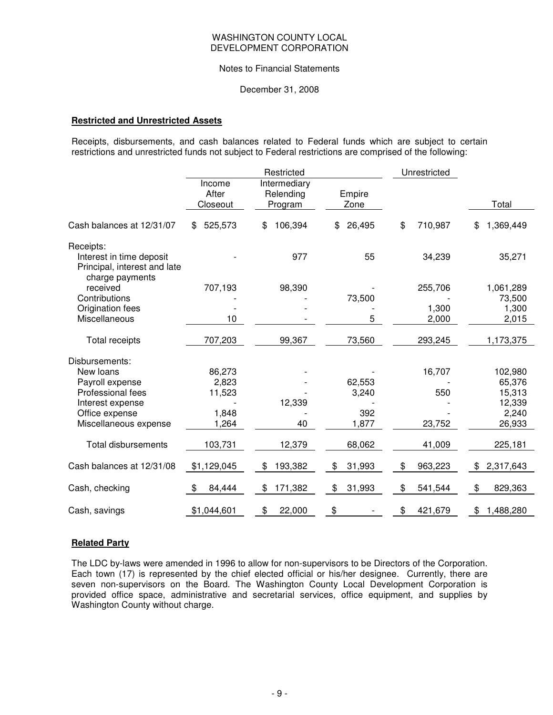### Notes to Financial Statements

December 31, 2008

### **Restricted and Unrestricted Assets**

Receipts, disbursements, and cash balances related to Federal funds which are subject to certain restrictions and unrestricted funds not subject to Federal restrictions are comprised of the following:

|                                                                             |                             | Restricted                           |                | Unrestricted  |                 |
|-----------------------------------------------------------------------------|-----------------------------|--------------------------------------|----------------|---------------|-----------------|
|                                                                             | Income<br>After<br>Closeout | Intermediary<br>Relending<br>Program | Empire<br>Zone |               | Total           |
|                                                                             |                             |                                      |                |               |                 |
| Cash balances at 12/31/07                                                   | 525,573<br>\$               | 106,394<br>\$                        | 26,495<br>\$   | \$<br>710,987 | 1,369,449<br>\$ |
| Receipts:                                                                   |                             |                                      |                |               |                 |
| Interest in time deposit<br>Principal, interest and late<br>charge payments |                             | 977                                  | 55             | 34,239        | 35,271          |
| received                                                                    | 707,193                     | 98,390                               |                | 255,706       | 1,061,289       |
| Contributions                                                               |                             |                                      | 73,500         |               | 73,500          |
| Origination fees                                                            |                             |                                      |                | 1,300         | 1,300           |
| Miscellaneous                                                               | 10                          |                                      | 5              | 2,000         | 2,015           |
| <b>Total receipts</b>                                                       | 707,203                     | 99,367                               | 73,560         | 293,245       | 1,173,375       |
| Disbursements:                                                              |                             |                                      |                |               |                 |
| New loans                                                                   | 86,273                      |                                      |                | 16,707        | 102,980         |
| Payroll expense                                                             | 2,823                       |                                      | 62,553         |               | 65,376          |
| Professional fees                                                           | 11,523                      |                                      | 3,240          | 550           | 15,313          |
| Interest expense                                                            |                             | 12,339                               |                |               | 12,339          |
| Office expense                                                              | 1,848                       |                                      | 392            |               | 2,240           |
| Miscellaneous expense                                                       | 1,264                       | 40                                   | 1,877          | 23,752        | 26,933          |
| <b>Total disbursements</b>                                                  | 103,731                     | 12,379                               | 68,062         | 41,009        | 225,181         |
| Cash balances at 12/31/08                                                   | \$1,129,045                 | 193,382<br>\$                        | 31,993<br>\$   | 963,223<br>\$ | 2,317,643<br>\$ |
| Cash, checking                                                              | \$<br>84,444                | \$<br>171,382                        | \$<br>31,993   | \$<br>541,544 | \$<br>829,363   |
| Cash, savings                                                               | \$1,044,601                 | 22,000<br>\$                         | \$             | 421,679<br>\$ | 1,488,280<br>\$ |

### **Related Party**

The LDC by-laws were amended in 1996 to allow for non-supervisors to be Directors of the Corporation. Each town (17) is represented by the chief elected official or his/her designee. Currently, there are seven non-supervisors on the Board. The Washington County Local Development Corporation is provided office space, administrative and secretarial services, office equipment, and supplies by Washington County without charge.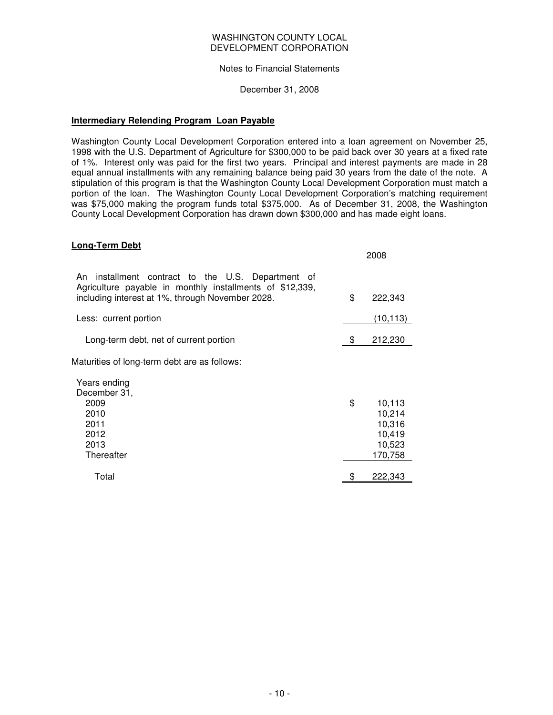### Notes to Financial Statements

December 31, 2008

### **Intermediary Relending Program Loan Payable**

Washington County Local Development Corporation entered into a loan agreement on November 25, 1998 with the U.S. Department of Agriculture for \$300,000 to be paid back over 30 years at a fixed rate of 1%. Interest only was paid for the first two years. Principal and interest payments are made in 28 equal annual installments with any remaining balance being paid 30 years from the date of the note. A stipulation of this program is that the Washington County Local Development Corporation must match a portion of the loan. The Washington County Local Development Corporation's matching requirement was \$75,000 making the program funds total \$375,000. As of December 31, 2008, the Washington County Local Development Corporation has drawn down \$300,000 and has made eight loans.

### **Long-Term Debt**

|                                                                                                                                                                   | 2008                                                            |
|-------------------------------------------------------------------------------------------------------------------------------------------------------------------|-----------------------------------------------------------------|
| An installment contract to the U.S. Department of<br>Agriculture payable in monthly installments of \$12,339,<br>including interest at 1%, through November 2028. | \$<br>222,343                                                   |
| Less: current portion                                                                                                                                             | (10, 113)                                                       |
| Long-term debt, net of current portion                                                                                                                            | \$<br>212,230                                                   |
| Maturities of long-term debt are as follows:                                                                                                                      |                                                                 |
| Years ending<br>December 31,<br>2009<br>2010<br>2011<br>2012<br>2013<br>Thereafter                                                                                | \$<br>10,113<br>10,214<br>10,316<br>10,419<br>10,523<br>170,758 |
| Total                                                                                                                                                             | 222,343                                                         |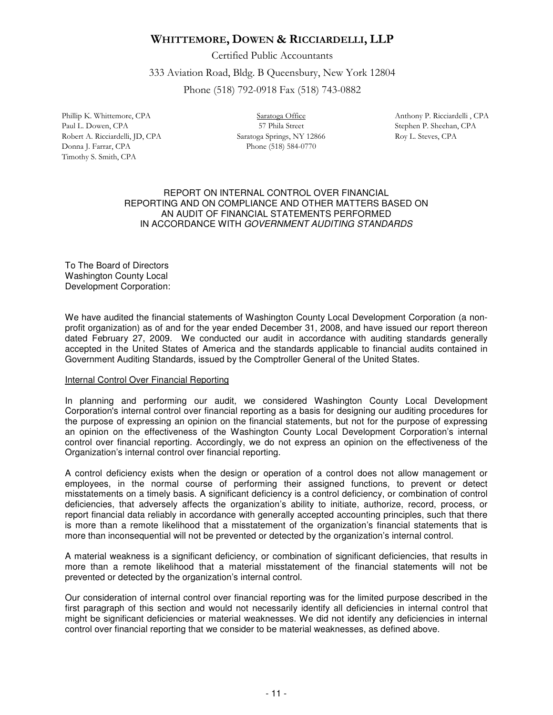# WHITTEMORE, DOWEN & RICCIARDELLI, LLP

Certified Public Accountants 333 Aviation Road, Bldg. B Queensbury, New York 12804 Phone (518) 792-0918 Fax (518) 743-0882

Paul L. Dowen, CPA 57 Phila Street Stephen P. Sheehan, CPA Robert A. Ricciardelli, JD, CPA Saratoga Springs, NY 12866 Roy L. Steves, CPA Donna J. Farrar, CPA Phone (518) 584-0770 Timothy S. Smith, CPA

Phillip K. Whittemore, CPA Saratoga Office Anthony P. Ricciardelli , CPA

## REPORT ON INTERNAL CONTROL OVER FINANCIAL REPORTING AND ON COMPLIANCE AND OTHER MATTERS BASED ON AN AUDIT OF FINANCIAL STATEMENTS PERFORMED IN ACCORDANCE WITH GOVERNMENT AUDITING STANDARDS

To The Board of Directors Washington County Local Development Corporation:

We have audited the financial statements of Washington County Local Development Corporation (a nonprofit organization) as of and for the year ended December 31, 2008, and have issued our report thereon dated February 27, 2009. We conducted our audit in accordance with auditing standards generally accepted in the United States of America and the standards applicable to financial audits contained in Government Auditing Standards, issued by the Comptroller General of the United States.

### Internal Control Over Financial Reporting

In planning and performing our audit, we considered Washington County Local Development Corporation's internal control over financial reporting as a basis for designing our auditing procedures for the purpose of expressing an opinion on the financial statements, but not for the purpose of expressing an opinion on the effectiveness of the Washington County Local Development Corporation's internal control over financial reporting. Accordingly, we do not express an opinion on the effectiveness of the Organization's internal control over financial reporting.

A control deficiency exists when the design or operation of a control does not allow management or employees, in the normal course of performing their assigned functions, to prevent or detect misstatements on a timely basis. A significant deficiency is a control deficiency, or combination of control deficiencies, that adversely affects the organization's ability to initiate, authorize, record, process, or report financial data reliably in accordance with generally accepted accounting principles, such that there is more than a remote likelihood that a misstatement of the organization's financial statements that is more than inconsequential will not be prevented or detected by the organization's internal control.

A material weakness is a significant deficiency, or combination of significant deficiencies, that results in more than a remote likelihood that a material misstatement of the financial statements will not be prevented or detected by the organization's internal control.

Our consideration of internal control over financial reporting was for the limited purpose described in the first paragraph of this section and would not necessarily identify all deficiencies in internal control that might be significant deficiencies or material weaknesses. We did not identify any deficiencies in internal control over financial reporting that we consider to be material weaknesses, as defined above.